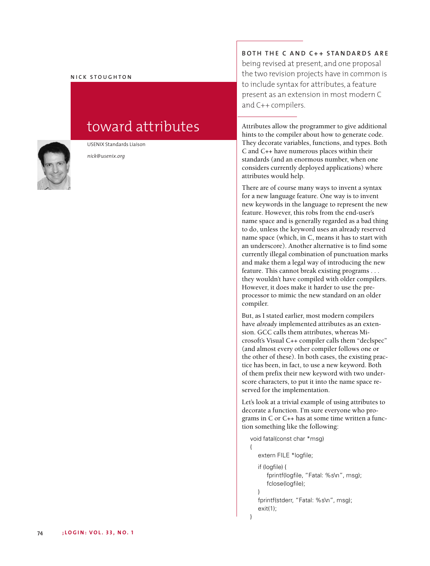### **N I C K S T O U G H T O N**



USENIX Standards Liaison

*nick@usenix.org*

toward attributes

**B O TH TH E C A N D C + + S TA N DA R D S A R E** being revised at present, and one proposal the two revision projects have in common is to include syntax for attributes, a feature present as an extension in most modern C and C++ compilers.

Attributes allow the programmer to give additional hints to the compiler about how to generate code. They decorate variables, functions, and types. Both C and C++ have numerous places within their standards (and an enormous number, when one considers currently deployed applications) where attributes would help.

There are of course many ways to invent a syntax for a new language feature. One way is to invent new keywords in the language to represent the new feature. However, this robs from the end-user's name space and is generally regarded as a bad thing to do, unless the keyword uses an already reserved name space (which, in C, means it has to start with an underscore). Another alternative is to find some currently illegal combination of punctuation marks and make them a legal way of introducing the new feature. This cannot break existing programs . . . they wouldn't have compiled with older compilers. However, it does make it harder to use the preprocessor to mimic the new standard on an older compiler.

But, as I stated earlier, most modern compilers have *already* implemented attributes as an extension. GCC calls them attributes, whereas Microsoft's Visual C++ compiler calls them "declspec" (and almost every other compiler follows one or the other of these). In both cases, the existing practice has been, in fact, to use a new keyword. Both of them prefix their new keyword with two underscore characters, to put it into the name space reserved for the implementation.

Let's look at a trivial example of using attributes to decorate a function. I'm sure everyone who programs in C or C++ has at some time written a function something like the following:

```
void fatal(const char *msg)
{
   extern FILE *logfile;
   if (logfile) {
      fprintf(logfile, "Fatal: %s\n", msg);
      fclose(logfile);
   }
   fprintf(stderr, "Fatal: %s\n", msg);
   exit(1);
}
```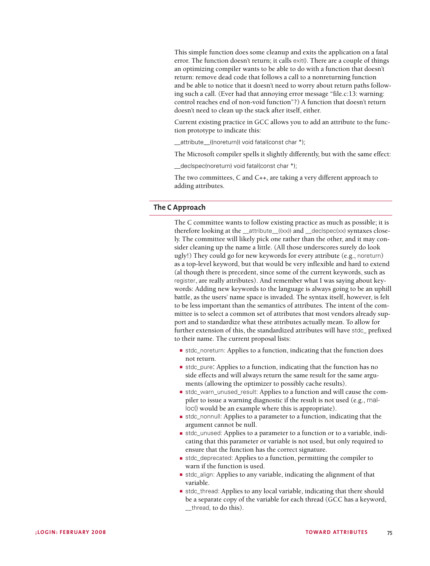This simple function does some cleanup and exits the application on a fatal error. The function doesn't return; it calls exit(). There are a couple of things an optimizing compiler wants to be able to do with a function that doesn't return: remove dead code that follows a call to a nonreturning function and be able to notice that it doesn't need to worry about return paths following such a call. (Ever had that annoying error message "file.c:13: warning: control reaches end of non-void function"?) A function that doesn't return doesn't need to clean up the stack after itself, either.

Current existing practice in GCC allows you to add an attribute to the function prototype to indicate this:

\_\_attribute\_\_((noreturn)) void fatal(const char \*);

The Microsoft compiler spells it slightly differently, but with the same effect:

\_\_declspec(noreturn) void fatal(const char \*);

The two committees, C and C++, are taking a very different approach to adding attributes.

# **The C Approach**

The C committee wants to follow existing practice as much as possible; it is therefore looking at the \_\_attribute\_((xx)) and \_\_declspec(xx) syntaxes closely. The committee will likely pick one rather than the other, and it may consider cleaning up the name a little. (All those underscores surely do look ugly!) They could go for new keywords for every attribute (e.g., noreturn) as a top-level keyword, but that would be very inflexible and hard to extend (al though there is precedent, since some of the current keywords, such as register, are really attributes). And remember what I was saying about keywords: Adding new keywords to the language is always going to be an uphill battle, as the users' name space is invaded. The syntax itself, however, is felt to be less important than the semantics of attributes. The intent of the committee is to select a common set of attributes that most vendors already support and to standardize what these attributes actually mean. To allow for further extension of this, the standardized attributes will have stdc\_ prefixed to their name. The current proposal lists:

- **■** stdc\_noreturn: Applies to a function, indicating that the function does not return.
- **■** stdc\_pure: Applies to a function, indicating that the function has no side effects and will always return the same result for the same arguments (allowing the optimizer to possibly cache results).
- **■** stdc\_warn\_unused\_result: Applies to a function and will cause the compiler to issue a warning diagnostic if the result is not used (e.g., malloc() would be an example where this is appropriate).
- **■** stdc\_nonnull: Applies to a parameter to a function, indicating that the argument cannot be null.
- **■** stdc\_unused: Applies to a parameter to a function or to a variable, indicating that this parameter or variable is not used, but only required to ensure that the function has the correct signature.
- **■** stdc\_deprecated: Applies to a function, permitting the compiler to warn if the function is used.
- **■** stdc\_align: Applies to any variable, indicating the alignment of that variable.
- **■** stdc\_thread: Applies to any local variable, indicating that there should be a separate copy of the variable for each thread (GCC has a keyword, \_\_thread, to do this).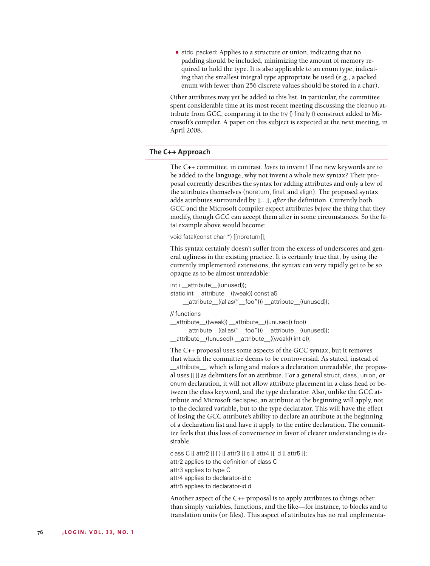**■** stdc\_packed: Applies to a structure or union, indicating that no padding should be included, minimizing the amount of memory required to hold the type. It is also applicable to an enum type, indicating that the smallest integral type appropriate be used (e.g., a packed enum with fewer than 256 discrete values should be stored in a char).

Other attributes may yet be added to this list. In particular, the committee spent considerable time at its most recent meeting discussing the cleanup attribute from GCC, comparing it to the try {} finally {} construct added to Microsoft's compiler. A paper on this subject is expected at the next meeting, in April 2008.

## **The C++ Approach**

The C++ committee, in contrast, *loves* to invent! If no new keywords are to be added to the language, why not invent a whole new syntax? Their proposal currently describes the syntax for adding attributes and only a few of the attributes themselves (noreturn, final, and align). The proposed syntax adds attributes surrounded by [[...]], *after* the definition. Currently both GCC and the Microsoft compiler expect attributes *before* the thing that they modify, though GCC can accept them after in some circumstances. So the fatal example above would become:

void fatal(const char \*) [[noreturn]];

This syntax certainly doesn't suffer from the excess of underscores and general ugliness in the existing practice. It is certainly true that, by using the currently implemented extensions, the syntax can very rapidly get to be so opaque as to be almost unreadable:

int i \_\_attribute\_\_((unused)); static int \_\_attribute\_\_((weak)) const a5 \_\_attribute\_\_((alias("\_\_foo"))) \_\_attribute\_\_((unused));

### // functions

attribute ((weak)) attribute ((unused)) foo() attribute ((alias(" foo"))) attribute ((unused)); \_\_attribute\_\_((unused)) \_\_attribute\_\_((weak)) int e();

The C++ proposal uses some aspects of the GCC syntax, but it removes that which the committee deems to be controversial. As stated, instead of \_\_attribute\_\_, which is long and makes a declaration unreadable, the proposal uses [[ ]] as delimiters for an attribute. For a general struct, class, union, or enum declaration, it will not allow attribute placement in a class head or between the class keyword, and the type declarator. Also, unlike the GCC attribute and Microsoft declspec, an attribute at the beginning will apply, not to the declared variable, but to the type declarator. This will have the effect of losing the GCC attribute's ability to declare an attribute at the beginning of a declaration list and have it apply to the entire declaration. The committee feels that this loss of convenience in favor of clearer understanding is desirable.

class C [[ attr2 ]] { } [[ attr3 ]] c [[ attr4 ]], d [[ attr5 ]]; attr2 applies to the definition of class C attr3 applies to type C attr4 applies to declarator-id c attr5 applies to declarator-id d

Another aspect of the C++ proposal is to apply attributes to things other than simply variables, functions, and the like—for instance, to blocks and to translation units (or files). This aspect of attributes has no real implementa-